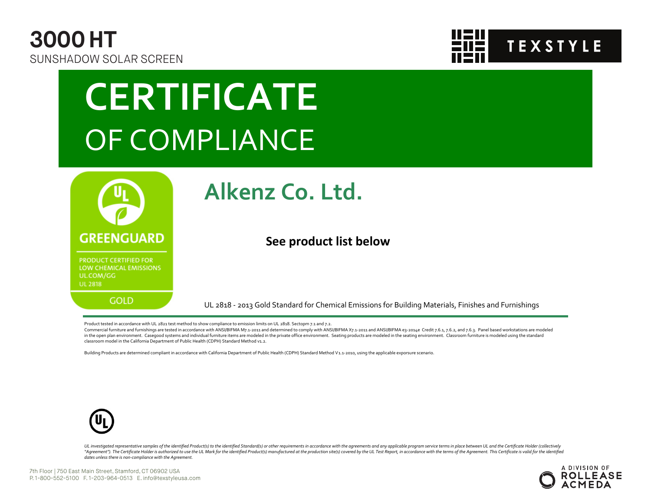



# **CERTIFICATE** OF COMPLIANCE



### **Alkenz Co. Ltd.**

#### **See product list below**

UL 2818 - 2013 Gold Standard for Chemical Emissions for Building Materials, Finishes and Furnishings

Product tested in accordance with UL 2821 test method to show compliance to emission limits on UL 2818. Sectopm 7.1 and 7.2.

Commercial furniture and furnishings are tested in accordance with ANSI/BIFMA M7.1-2011 and determined to comply with ANSI/BIFMA X7.1-2011 and ANSI/BIFMA e3-2014e Credit 7.6.1, 7.6.2, and 7.6.3. Panel based workstations ar in the open plan environment. Casegood systems and individual furniture items are modeled in the private office environment. Seating products are modeled in the seating environment. Classroom furniture is modeled using the classroom model in the California Department of Public Health (CDPH) Standard Method v1.2.

Building Products are determined compliant in accordance with California Department of Public Health (CDPH) Standard Method V1.1-2010, using the applicable exporsure scenario.



UL investigated representative samples of the identified Product(s) to the identified Standard(s) or other requirements in accordance with the agreements and any applicable program service terms in place between UL and the "Agreement"). The Certificate Holder is authorized to use the UL Mark for the identified Product(s) manufactured at the production site(s) covered by the UL Test Report, in accordance with the terms of the Agreement. This *dates unless there is non-compliance with the Agreement.*

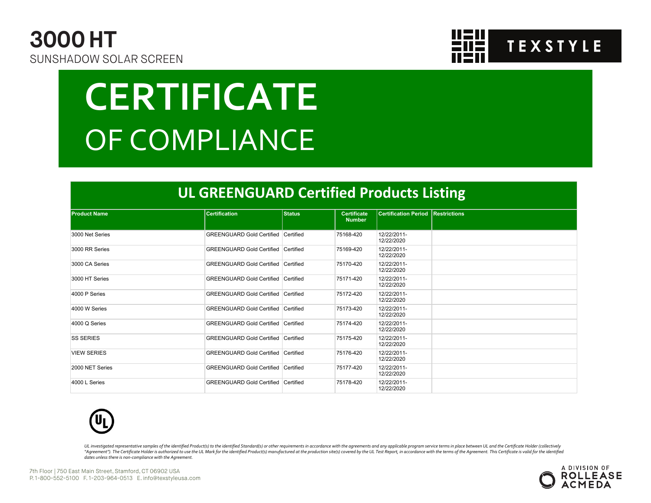



# **CERTIFICATE** OF COMPLIANCE

#### **UL GREENGUARD Certified Products Listing**

| <b>Product Name</b> | <b>Certification</b>                       | <b>Status</b> | <b>Certificate</b><br><b>Number</b> | <b>Certification Period Restrictions</b> |  |
|---------------------|--------------------------------------------|---------------|-------------------------------------|------------------------------------------|--|
|                     |                                            |               |                                     |                                          |  |
| 3000 Net Series     | <b>GREENGUARD Gold Certified Certified</b> |               | 75168-420                           | 12/22/2011-<br>12/22/2020                |  |
| 3000 RR Series      | <b>GREENGUARD Gold Certified Certified</b> |               | 75169-420                           | 12/22/2011-<br>12/22/2020                |  |
| 3000 CA Series      | GREENGUARD Gold Certified Certified        |               | 75170-420                           | 12/22/2011-<br>12/22/2020                |  |
| 3000 HT Series      | GREENGUARD Gold Certified Certified        |               | 75171-420                           | 12/22/2011-<br>12/22/2020                |  |
| 4000 P Series       | <b>GREENGUARD Gold Certified Certified</b> |               | 75172-420                           | 12/22/2011-<br>12/22/2020                |  |
| 4000 W Series       | GREENGUARD Gold Certified Certified        |               | 75173-420                           | 12/22/2011-<br>12/22/2020                |  |
| 4000 Q Series       | <b>GREENGUARD Gold Certified Certified</b> |               | 75174-420                           | 12/22/2011-<br>12/22/2020                |  |
| <b>SS SERIES</b>    | <b>GREENGUARD Gold Certified Certified</b> |               | 75175-420                           | 12/22/2011-<br>12/22/2020                |  |
| <b>VIEW SERIES</b>  | GREENGUARD Gold Certified Certified        |               | 75176-420                           | 12/22/2011-<br>12/22/2020                |  |
| 2000 NET Series     | <b>GREENGUARD Gold Certified Certified</b> |               | 75177-420                           | 12/22/2011-<br>12/22/2020                |  |
| 4000 L Series       | GREENGUARD Gold Certified Certified        |               | 75178-420                           | 12/22/2011-<br>12/22/2020                |  |



UL investigated representative samples of the identified Product(s) to the identified Standard(s) or other requirements in accordance with the agreements and any applicable program service terms in place between UL and the "Agreement"). The Certificate Holder is authorized to use the UL Mark for the identified Product(s) manufactured at the production site(s) covered by the UL Test Report, in accordance with the terms of the Agreement. This *dates unless there is non-compliance with the Agreement.*

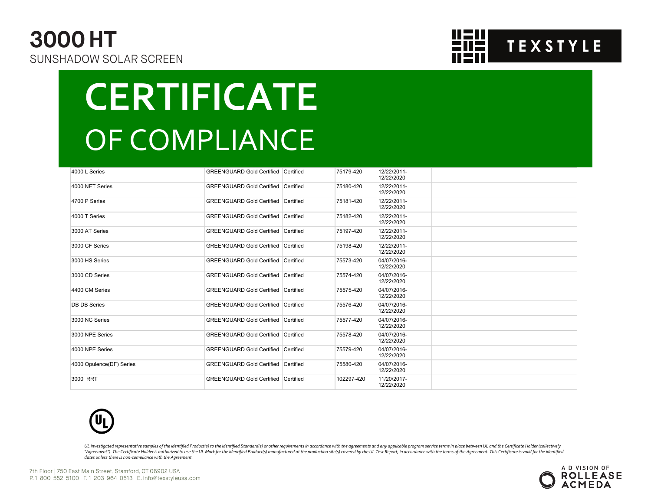### **3000 HT** SUNSHADOW SOLAR SCREEN



# **CERTIFICATE** OF COMPLIANCE

| 4000 L Series            | <b>GREENGUARD Gold Certified Certified</b> | 75179-420  | 12/22/2011-<br>12/22/2020 |  |
|--------------------------|--------------------------------------------|------------|---------------------------|--|
| 4000 NET Series          | <b>GREENGUARD Gold Certified Certified</b> | 75180-420  | 12/22/2011-<br>12/22/2020 |  |
| 4700 P Series            | <b>GREENGUARD Gold Certified Certified</b> | 75181-420  | 12/22/2011-<br>12/22/2020 |  |
| 4000 T Series            | <b>GREENGUARD Gold Certified Certified</b> | 75182-420  | 12/22/2011-<br>12/22/2020 |  |
| 3000 AT Series           | <b>GREENGUARD Gold Certified Certified</b> | 75197-420  | 12/22/2011-<br>12/22/2020 |  |
| 3000 CF Series           | <b>GREENGUARD Gold Certified Certified</b> | 75198-420  | 12/22/2011-<br>12/22/2020 |  |
| 3000 HS Series           | <b>GREENGUARD Gold Certified Certified</b> | 75573-420  | 04/07/2016-<br>12/22/2020 |  |
| 3000 CD Series           | <b>GREENGUARD Gold Certified Certified</b> | 75574-420  | 04/07/2016-<br>12/22/2020 |  |
| 4400 CM Series           | <b>GREENGUARD Gold Certified Certified</b> | 75575-420  | 04/07/2016-<br>12/22/2020 |  |
| <b>DB DB Series</b>      | <b>GREENGUARD Gold Certified Certified</b> | 75576-420  | 04/07/2016-<br>12/22/2020 |  |
| 3000 NC Series           | <b>GREENGUARD Gold Certified Certified</b> | 75577-420  | 04/07/2016-<br>12/22/2020 |  |
| 3000 NPE Series          | <b>GREENGUARD Gold Certified Certified</b> | 75578-420  | 04/07/2016-<br>12/22/2020 |  |
| 4000 NPE Series          | <b>GREENGUARD Gold Certified Certified</b> | 75579-420  | 04/07/2016-<br>12/22/2020 |  |
| 4000 Opulence(DF) Series | <b>GREENGUARD Gold Certified Certified</b> | 75580-420  | 04/07/2016-<br>12/22/2020 |  |
| 3000 RRT                 | GREENGUARD Gold Certified Certified        | 102297-420 | 11/20/2017-<br>12/22/2020 |  |



UL investigated representative samples of the identified Product(s) to the identified Standard(s) or other requirements in accordance with the agreements and any applicable program service terms in place between UL and the "Agreement"). The Certificate Holder is authorized to use the UL Mark for the identified Product(s) manufactured at the production site(s) covered by the UL Test Report, in accordance with the terms of the Agreement. This *dates unless there is non-compliance with the Agreement.*